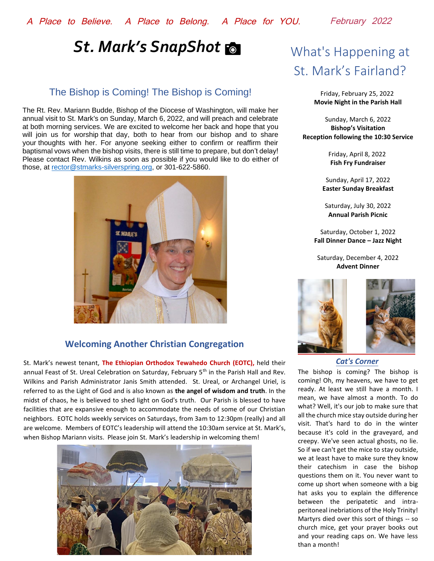# **St. Mark's SnapShot &** What's Happening at

## The Bishop is Coming! The Bishop is Coming!

The Rt. Rev. Mariann Budde, Bishop of the Diocese of Washington, will make her annual visit to St. Mark's on Sunday, March 6, 2022, and will preach and celebrate at both morning services. We are excited to welcome her back and hope that you will join us for worship that day, both to hear from our bishop and to share your thoughts with her. For anyone seeking either to confirm or reaffirm their baptismal vows when the bishop visits, there is still time to prepare, but don't delay! Please contact Rev. Wilkins as soon as possible if you would like to do either of those, at [rector@stmarks-silverspring.org,](mailto:rector@stmarks-silverspring.org) or 301-622-5860.



## **Welcoming Another Christian Congregation**

St. Mark's newest tenant, **The Ethiopian Orthodox Tewahedo Church (EOTC),** held their annual Feast of St. Ureal Celebration on Saturday, February 5<sup>th</sup> in the Parish Hall and Rev. Wilkins and Parish Administrator Janis Smith attended. St. Ureal, or Archangel Uriel, is referred to as the Light of God and is also known as **the angel of wisdom and truth**. In the midst of chaos, he is believed to shed light on God's truth. Our Parish is blessed to have facilities that are expansive enough to accommodate the needs of some of our Christian neighbors. EOTC holds weekly services on Saturdays, from 3am to 12:30pm (really) and all are welcome. Members of EOTC's leadership will attend the 10:30am service at St. Mark's, when Bishop Mariann visits. Please join St. Mark's leadership in welcoming them!



# St. Mark's Fairland?

Friday, February 25, 2022 **Movie Night in the Parish Hall**

Sunday, March 6, 2022 **Bishop's Visitation Reception following the 10:30 Service**

> Friday, April 8, 2022 **Fish Fry Fundraiser**

Sunday, April 17, 2022 **Easter Sunday Breakfast**

Saturday, July 30, 2022 **Annual Parish Picnic**

Saturday, October 1, 2022 **Fall Dinner Dance – Jazz Night**

Saturday, December 4, 2022 **Advent Dinner**



## *Cat's Corner*

The bishop is coming? The bishop is coming! Oh, my heavens, we have to get ready. At least we still have a month. I mean, we have almost a month. To do what? Well, it's our job to make sure that all the church mice stay outside during her visit. That's hard to do in the winter because it's cold in the graveyard, and creepy. We've seen actual ghosts, no lie. So if we can't get the mice to stay outside, we at least have to make sure they know their catechism in case the bishop questions them on it. You never want to come up short when someone with a big hat asks you to explain the difference between the peripatetic and intraperitoneal inebriations of the Holy Trinity! Martyrs died over this sort of things -- so church mice, get your prayer books out and your reading caps on. We have less than a month!